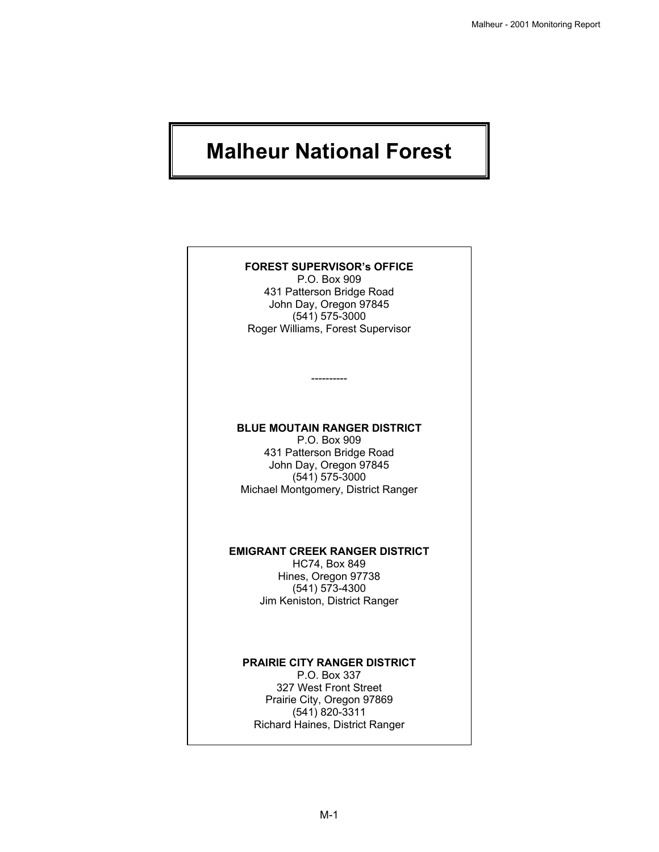# **Malheur National Forest**

### **FOREST SUPERVISOR's OFFICE**

P.O. Box 909 431 Patterson Bridge Road John Day, Oregon 97845 (541) 575-3000 Roger Williams, Forest Supervisor

### **BLUE MOUTAIN RANGER DISTRICT**

----------

P.O. Box 909 431 Patterson Bridge Road John Day, Oregon 97845 (541) 575-3000 Michael Montgomery, District Ranger

### **EMIGRANT CREEK RANGER DISTRICT**

HC74, Box 849 Hines, Oregon 97738 (541) 573-4300 Jim Keniston, District Ranger

### **PRAIRIE CITY RANGER DISTRICT**

P.O. Box 337 327 West Front Street Prairie City, Oregon 97869 (541) 820-3311 Richard Haines, District Ranger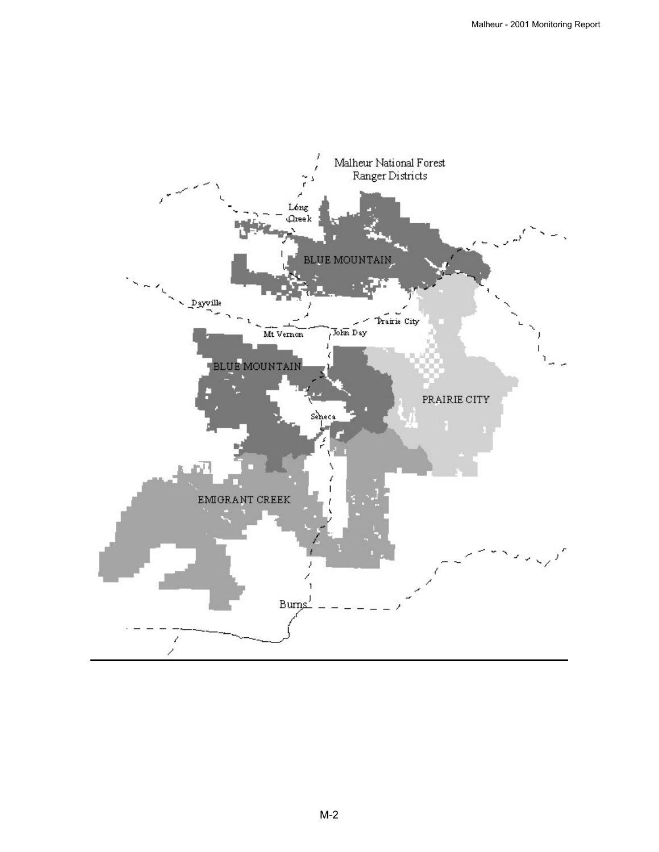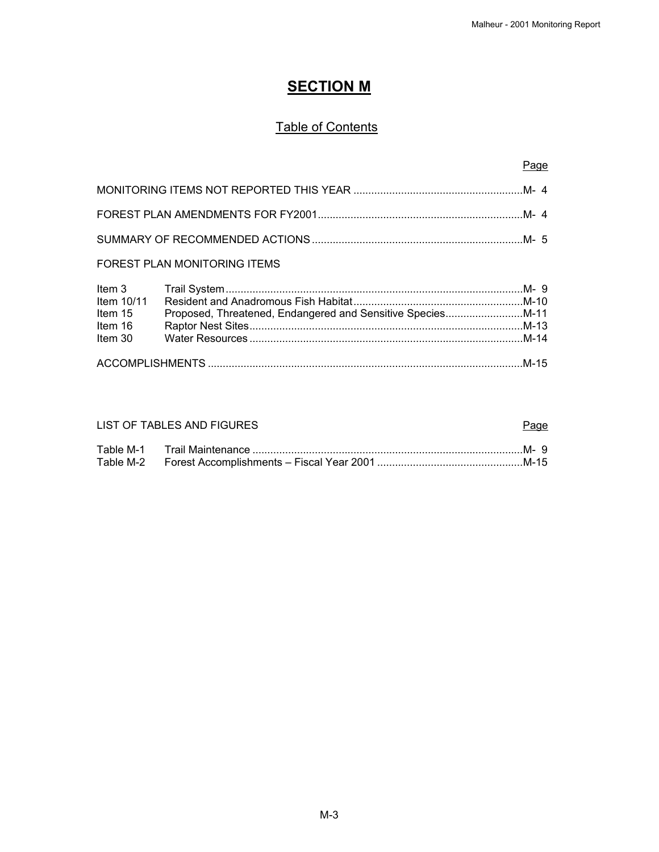# **SECTION M**

# **Table of Contents**

### Page

### FOREST PLAN MONITORING ITEMS

| ltem 15 |  |
|---------|--|
| Item 16 |  |
| Item 30 |  |
|         |  |
|         |  |

### LIST OF TABLES AND FIGURES **Page**

# Table M-1 Trail Maintenance ...........................................................................................M- 9 Table M-2 Forest Accomplishments – Fiscal Year 2001 .................................................M-15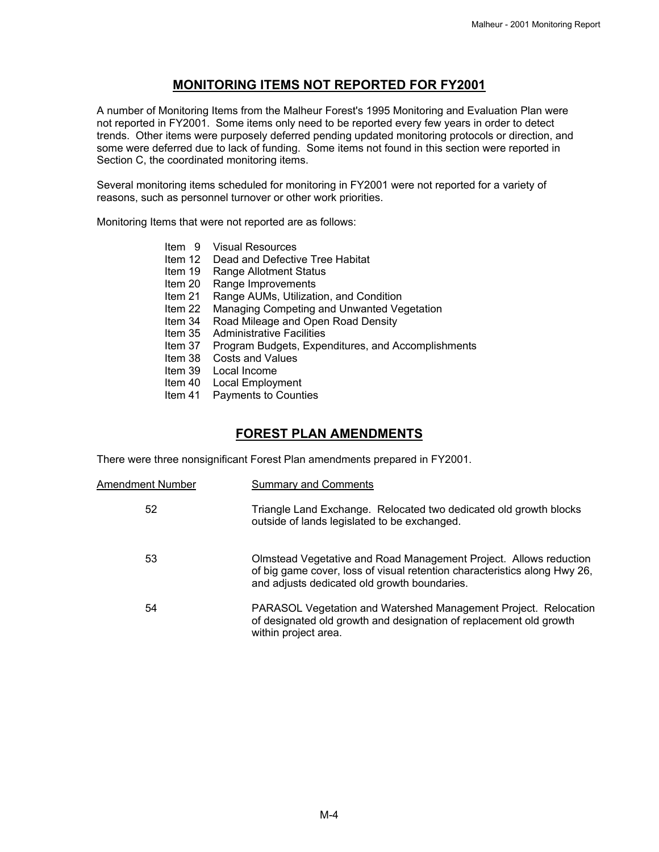# **MONITORING ITEMS NOT REPORTED FOR FY2001**

A number of Monitoring Items from the Malheur Forest's 1995 Monitoring and Evaluation Plan were not reported in FY2001. Some items only need to be reported every few years in order to detect trends. Other items were purposely deferred pending updated monitoring protocols or direction, and some were deferred due to lack of funding. Some items not found in this section were reported in Section C, the coordinated monitoring items.

Several monitoring items scheduled for monitoring in FY2001 were not reported for a variety of reasons, such as personnel turnover or other work priorities.

Monitoring Items that were not reported are as follows:

- Item 9 Visual Resources
- Item 12 Dead and Defective Tree Habitat
- Item 19 Range Allotment Status
- Item 20 Range Improvements
- Item 21 Range AUMs, Utilization, and Condition
- Item 22 Managing Competing and Unwanted Vegetation
- Item 34 Road Mileage and Open Road Density
- Item 35 Administrative Facilities
- Item 37 Program Budgets, Expenditures, and Accomplishments
- Item 38 Costs and Values
- Item 39 Local Income
- Item 40 Local Employment
- Item 41 Payments to Counties

## **FOREST PLAN AMENDMENTS**

There were three nonsignificant Forest Plan amendments prepared in FY2001.

| Amendment Number | <b>Summary and Comments</b>                                                                                                                                                                    |
|------------------|------------------------------------------------------------------------------------------------------------------------------------------------------------------------------------------------|
| 52               | Triangle Land Exchange. Relocated two dedicated old growth blocks<br>outside of lands legislated to be exchanged.                                                                              |
| 53               | Olmstead Vegetative and Road Management Project. Allows reduction<br>of big game cover, loss of visual retention characteristics along Hwy 26,<br>and adjusts dedicated old growth boundaries. |
| 54               | PARASOL Vegetation and Watershed Management Project. Relocation<br>of designated old growth and designation of replacement old growth<br>within project area.                                  |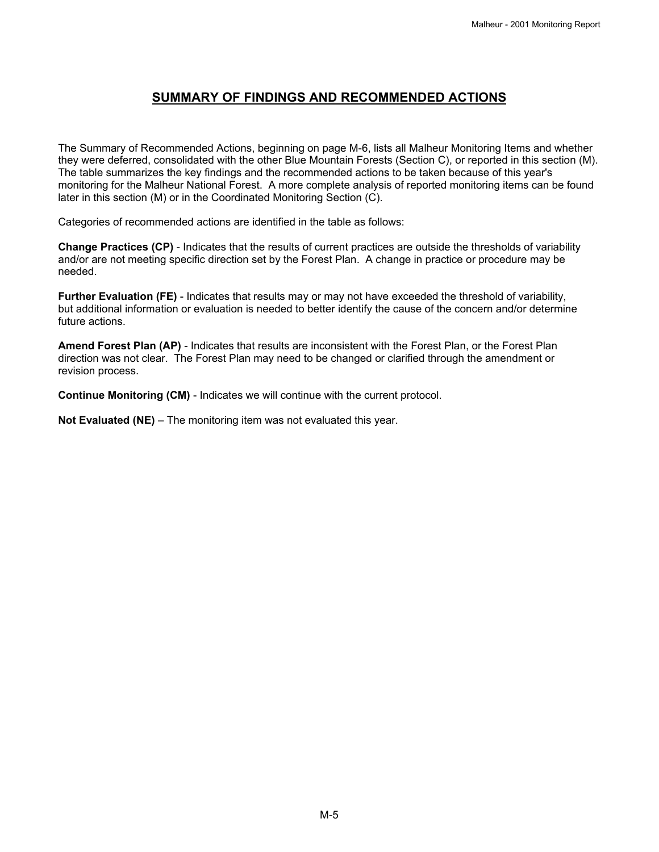# **SUMMARY OF FINDINGS AND RECOMMENDED ACTIONS**

The Summary of Recommended Actions, beginning on page M-6, lists all Malheur Monitoring Items and whether they were deferred, consolidated with the other Blue Mountain Forests (Section C), or reported in this section (M). The table summarizes the key findings and the recommended actions to be taken because of this year's monitoring for the Malheur National Forest. A more complete analysis of reported monitoring items can be found later in this section (M) or in the Coordinated Monitoring Section (C).

Categories of recommended actions are identified in the table as follows:

**Change Practices (CP)** - Indicates that the results of current practices are outside the thresholds of variability and/or are not meeting specific direction set by the Forest Plan. A change in practice or procedure may be needed.

**Further Evaluation (FE)** - Indicates that results may or may not have exceeded the threshold of variability, but additional information or evaluation is needed to better identify the cause of the concern and/or determine future actions.

**Amend Forest Plan (AP)** - Indicates that results are inconsistent with the Forest Plan, or the Forest Plan direction was not clear. The Forest Plan may need to be changed or clarified through the amendment or revision process.

**Continue Monitoring (CM)** - Indicates we will continue with the current protocol.

**Not Evaluated (NE)** – The monitoring item was not evaluated this year.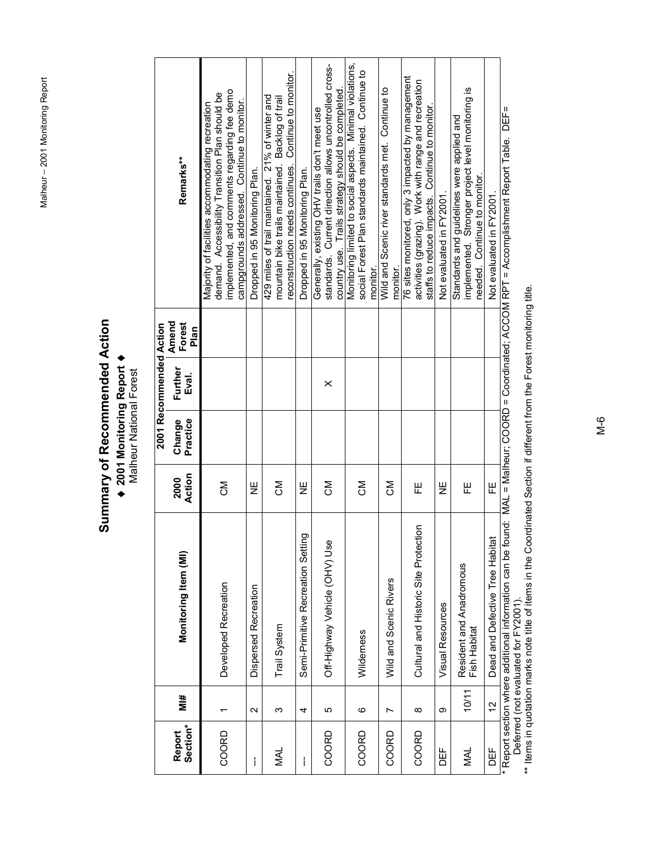Malheur - 2001 Monitoring Report Malheur – 2001 Monitoring Report

# Summary of Recommended Action **Summary of Recommended Action** ♦ **2001 Monitoring Report** ♦

♦ 2001 Monitoring Report ♦<br>Malheur National Forest Malheur National Forest

|                    |                   |                                                         |                |                    | 2001 Recommended Action |                         |                                                                                                                                                                                                   |
|--------------------|-------------------|---------------------------------------------------------|----------------|--------------------|-------------------------|-------------------------|---------------------------------------------------------------------------------------------------------------------------------------------------------------------------------------------------|
| Section*<br>Report | #iM               | Monitoring Item (MI)                                    | Action<br>2000 | Practice<br>Change | Further<br>Eval.        | Amend<br>Forest<br>Plan | Remarks**                                                                                                                                                                                         |
| COORD              |                   | Developed Recreation                                    | ŠΣ             |                    |                         |                         | implemented, and comments regarding fee demo<br>demand. Accessibility Transition Plan should be<br>campgrounds addressed. Continue to monitor.<br>Majority of facilities accommodating recreation |
| I                  | $\mathbf{\Omega}$ | Dispersed Recreation                                    | Ψ              |                    |                         |                         | Dropped in 95 Monitoring Plan.                                                                                                                                                                    |
| NAL                | ო                 | Trail System                                            | ŠΣ             |                    |                         |                         | reconstruction needs continues. Continue to monitor.<br>429 miles of trail maintained. 21% of winter and<br>mountain bike trails maintained. Backlog of trail                                     |
| I                  | 4                 | Semi-Primitive Recreation Setting                       | Ψ              |                    |                         |                         | Dropped in 95 Monitoring Plan.                                                                                                                                                                    |
| COORD              | 5                 | oso (NHO) andrical Newspir-                             | ΜC             |                    | $\times$                |                         | standards. Current direction allows uncontrolled cross-<br>country use. Trails strategy should be completed.<br>Generally, existing OHV trails don't meet use                                     |
| COORD              | ဖ                 | Wilderness                                              | Σ<br>Ö         |                    |                         |                         | Monitoring limited to social aspects. Minimal violations,<br>social Forest Plan standards maintained. Continue to<br>monitor.                                                                     |
| COORD              | Ľ                 | Wild and Scenic Rivers                                  | ŠΣ             |                    |                         |                         | Wild and Scenic river standards met. Continue to<br>monitor.                                                                                                                                      |
| COORD              | $\infty$          | Cultural and Historic Site Protection                   | 푼              |                    |                         |                         | 76 sites monitored, only 3 impacted by management<br>activities (grazing). Work with range and recreation<br>staffs to reduce impacts. Continue to monitor                                        |
| 出口                 | တ                 | Visual Resources                                        | Ψ              |                    |                         |                         | Not evaluated in FY2001.                                                                                                                                                                          |
| NAL                | 10/11             | Resident and Anadromous<br>Fish Habitat                 | 푼              |                    |                         |                         | implemented. Stronger project level monitoring is<br>Standards and guidelines were applied and<br>needed. Continue to monitor.                                                                    |
| 바<br>이             | 51                | Dead and Defective Tree Habitat                         | 씬              |                    |                         |                         | Not evaluated in FY2001.                                                                                                                                                                          |
|                    |                   | . Donott continuum and difficult information can be fou |                |                    |                         |                         | -1914 - Mal – Malbour: COOD – Coordinated MDDT – Accomplishment Part Toble – DEE-                                                                                                                 |

\* Report section where additional information can be found: MAL = Malheur; COORD = Coordinated; ACCOM RPT = Accomplishment Report Table. DEF=<br>--- Deferred (not evaluated for FY2001).<br>\*\* Items in quotation marks note ti \* Report section where additional information can be found: MAL = Malheur; COORD = Coordinated; ACCOM RPT = Accomplishment Report Table. DEF= Deferred (not evaluated for FY2001).

\*\* Items in quotation marks note title of items in the Coordinated Section if different from the Forest monitoring title.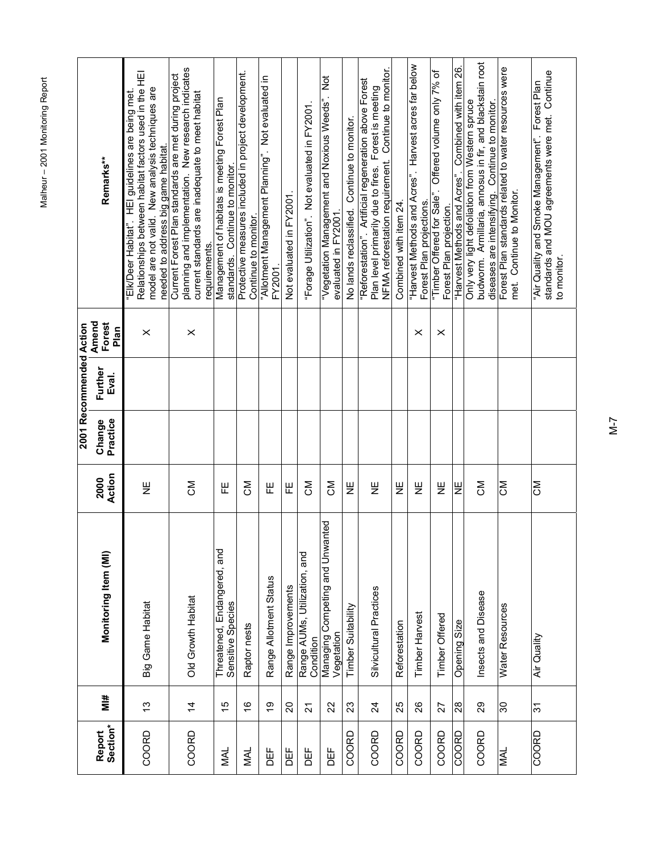|                    |                |                                                  |                |                    | 2001 Recommended Action |                         |                                                                                                                                                                                                       |
|--------------------|----------------|--------------------------------------------------|----------------|--------------------|-------------------------|-------------------------|-------------------------------------------------------------------------------------------------------------------------------------------------------------------------------------------------------|
| Section*<br>Report | i≝             | Monitoring Item (MI)                             | Action<br>2000 | Practice<br>Change | Further<br>Eval.        | Amend<br>Forest<br>Plan | Remarks**                                                                                                                                                                                             |
| COORD              | 13             | Big Game Habitat                                 | Ψ              |                    |                         | $\times$                | Relationships between habitat factors used in the HEI<br>model are not valid. New analysis techniques are<br>"Elk/Deer Habitat". HEI guidelines are being met.<br>needed to address big game habitat. |
| COORD              | $\overline{4}$ | <b>Old Growth Habitat</b>                        | ŠΣ             |                    |                         | $\times$                | planning and implementation. New research indicates<br>Current Forest Plan standards are met during project<br>current standards are inadequate to meet habitat<br>requirements.                      |
| <b>MAL</b>         | 15             | Threatened, Endangered, and<br>Sensitive Species | 뿐              |                    |                         |                         | Management of habitats is meeting Forest Plan<br>standards. Continue to monitor.                                                                                                                      |
| NAL                | $\frac{6}{1}$  | Raptor nests                                     | ŠΣ             |                    |                         |                         | Protective measures included in project development.<br>Continue to monitor.                                                                                                                          |
| 出口                 | စ္             | Range Allotment Status                           | 뿐              |                    |                         |                         | "Allotment Management Planning". Not evaluated in<br><b>FY2001</b>                                                                                                                                    |
| DEF                | 20             | Range Improvements                               | 巴              |                    |                         |                         | Not evaluated in FY2001.                                                                                                                                                                              |
| 出<br>DEF           | $\overline{2}$ | Range AUMs, Utilization, and<br>Condition        | ŠΣ             |                    |                         |                         | "Forage Utilization". Not evaluated in FY2001.                                                                                                                                                        |
| DEF                | 22             | Managing Competing and Unwanted<br>Vegetation    | ŠΣ             |                    |                         |                         | 3<br>.<br>.<br>"Vegetation Management and Noxious Weeds"<br>evaluated in FY2001                                                                                                                       |
| COORD              | 23             | Timber Suitability                               | Ψ              |                    |                         |                         | Continue to monitor.<br>No lands reclassified.                                                                                                                                                        |
| COORD              | $\overline{2}$ | Silvicultural Practices                          | Ψ              |                    |                         |                         | NFMA reforestation requirement. Continue to monitor.<br>"Reforestation". Artificial regeneration above Forest<br>Plan level primarily due to fires. Forest is meeting                                 |
| COORD              | 25             | Reforestation                                    | 쁮              |                    |                         |                         | Combined with item 24.                                                                                                                                                                                |
| COORD              | $\frac{8}{2}$  | Timber Harvest                                   | 山<br>N         |                    |                         | $\times$                | "Harvest Methods and Acres". Harvest acres far below<br>Forest Plan projections                                                                                                                       |
| COORD              | 27             | Timber Offered                                   | Ψ              |                    |                         | $\times$                | "Timber Offered for Sale". Offered volume only 7% of<br>Forest Plan projection.                                                                                                                       |
| COORD              | 28             | Opening Size                                     | 쁮              |                    |                         |                         | "Harvest Methods and Acres". Combined with item 26.                                                                                                                                                   |
| COORD              | 29             | Insects and Disease                              | <b>NO</b>      |                    |                         |                         | budworm. Armillaria, annosus in fir, and blackstain root<br>Only very light defoliation from Western spruce<br>diseases are intensifying. Continue to monitor.                                        |
| <b>HYI</b>         | $\frac{8}{3}$  | Water Resources                                  | <b>NO</b>      |                    |                         |                         | Forest Plan standards related to water resources were<br>met. Continue to Monitor.                                                                                                                    |
| COORD              | $\frac{1}{3}$  | Air Quality                                      | ŠΣ             |                    |                         |                         | standards and MOU agreements were met. Continue<br>"Air Quality and Smoke Management". Forest Plan<br>to monitor.                                                                                     |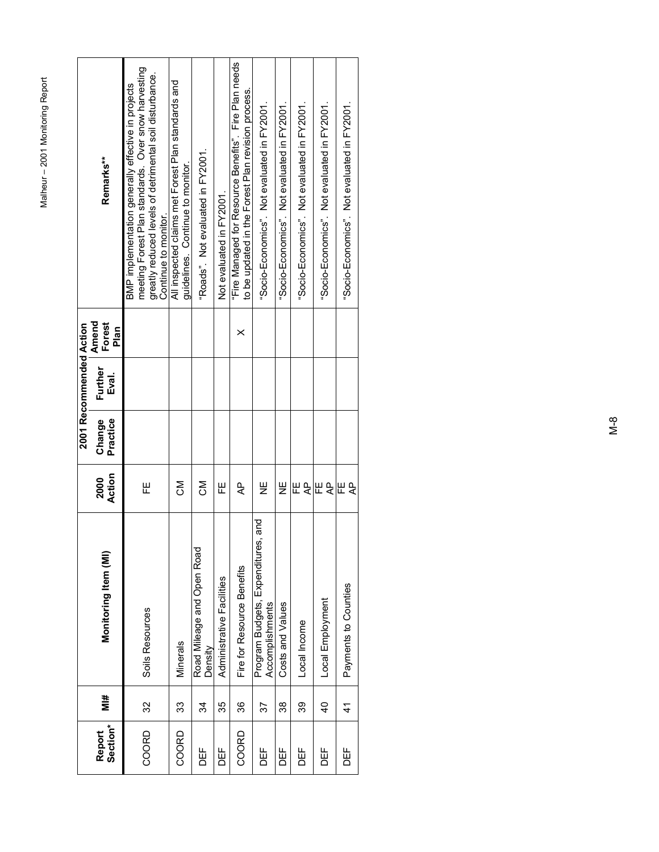|                    |                |                                                          |                     |                    | 2001 Recommended Action |                         |                                                                                                                                                                                              |
|--------------------|----------------|----------------------------------------------------------|---------------------|--------------------|-------------------------|-------------------------|----------------------------------------------------------------------------------------------------------------------------------------------------------------------------------------------|
| Section*<br>Report | #iM            | Monitoring Item (MI)                                     | Action<br>2000      | Practice<br>Change | Further<br>Eval.        | Amend<br>Forest<br>Plan | Remarks**                                                                                                                                                                                    |
| COORD              | 32             | Soils Resources                                          | 巴                   |                    |                         |                         | meeting Forest Plan standards. Over snow harvesting<br>greatly reduced levels of detrimental soil disturbance.<br>BMP implementation generally effective in projects<br>Continue to monitor. |
| COORD              | 33             | Minerals                                                 | ξ                   |                    |                         |                         | All inspected claims met Forest Plan standards and<br>quidelines. Continue to monitor.                                                                                                       |
| <b>DEF</b>         | 34             | Road Mileage and Open Road<br>Density                    | ŠΣ                  |                    |                         |                         | "Roads". Not evaluated in FY2001.                                                                                                                                                            |
| DEF<br>D           | 35             | Administrative Facilities                                | 巴                   |                    |                         |                         | Not evaluated in FY2001.                                                                                                                                                                     |
| COORD              | 36             | Fire for Resource Benefits                               | ሩ                   |                    |                         | $\times$                | "Fire Managed for Resource Benefits". Fire Plan needs<br>to be updated in the Forest Plan revision process.                                                                                  |
| DEF<br>D           | 57             | and<br>Program Budgets, Expenditures,<br>Accomplishments | Ψ                   |                    |                         |                         | "Socio-Economics". Not evaluated in FY2001.                                                                                                                                                  |
| DEF                | 38             | Costs and Values                                         | 쁮                   |                    |                         |                         | "Socio-Economics". Not evaluated in FY2001                                                                                                                                                   |
| DEF<br>D           | 39             | Local Income                                             | 巴<br>$\overline{A}$ |                    |                         |                         | "Socio-Economics". Not evaluated in FY2001.                                                                                                                                                  |
| <b>DEF</b>         | $\overline{a}$ | Local Employment                                         | ⊞ę                  |                    |                         |                         | "Socio-Economics". Not evaluated in FY2001.                                                                                                                                                  |
| DEF                | 4              | Payments to Counties                                     | ΨÞ<br>뿐             |                    |                         |                         | "Socio-Economics". Not evaluated in FY2001.                                                                                                                                                  |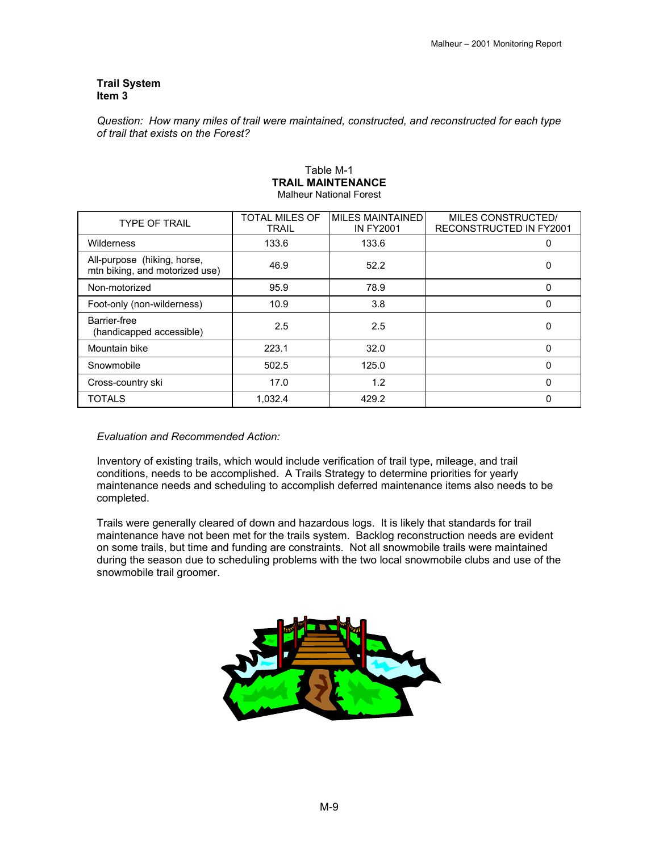### **Trail System Item 3**

*Question: How many miles of trail were maintained, constructed, and reconstructed for each type of trail that exists on the Forest?* 

| <b>TYPE OF TRAIL</b>                                          | TOTAL MILES OF<br><b>TRAIL</b> | <b>MILES MAINTAINED</b><br><b>IN FY2001</b> | MILES CONSTRUCTED/<br><b>RECONSTRUCTED IN FY2001</b> |
|---------------------------------------------------------------|--------------------------------|---------------------------------------------|------------------------------------------------------|
| Wilderness                                                    | 133.6                          | 133.6                                       | o                                                    |
| All-purpose (hiking, horse,<br>mtn biking, and motorized use) | 46.9                           | 52.2                                        |                                                      |
| Non-motorized                                                 | 95.9                           | 78.9                                        | $\Omega$                                             |
| Foot-only (non-wilderness)                                    | 10.9                           | 3.8                                         | O                                                    |
| Barrier-free<br>(handicapped accessible)                      | 2.5                            | 2.5                                         | 0                                                    |
| Mountain bike                                                 | 223.1                          | 32.0                                        | $\Omega$                                             |
| Snowmobile                                                    | 502.5                          | 125.0                                       | $\Omega$                                             |
| Cross-country ski                                             | 17.0                           | 1.2                                         | $\Omega$                                             |
| <b>TOTALS</b>                                                 | 1.032.4                        | 429.2                                       | O                                                    |

### Table M-1 **TRAIL MAINTENANCE**  Malheur National Forest

### *Evaluation and Recommended Action:*

Inventory of existing trails, which would include verification of trail type, mileage, and trail conditions, needs to be accomplished. A Trails Strategy to determine priorities for yearly maintenance needs and scheduling to accomplish deferred maintenance items also needs to be completed.

Trails were generally cleared of down and hazardous logs. It is likely that standards for trail maintenance have not been met for the trails system. Backlog reconstruction needs are evident on some trails, but time and funding are constraints. Not all snowmobile trails were maintained during the season due to scheduling problems with the two local snowmobile clubs and use of the snowmobile trail groomer.

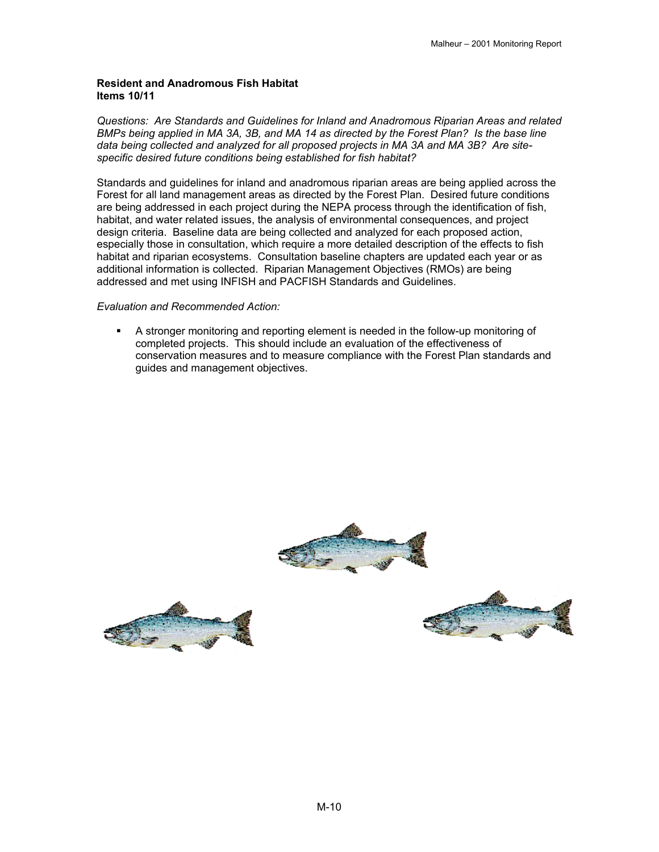### **Resident and Anadromous Fish Habitat Items 10/11**

*Questions: Are Standards and Guidelines for Inland and Anadromous Riparian Areas and related BMPs being applied in MA 3A, 3B, and MA 14 as directed by the Forest Plan? Is the base line data being collected and analyzed for all proposed projects in MA 3A and MA 3B? Are sitespecific desired future conditions being established for fish habitat?*

Standards and guidelines for inland and anadromous riparian areas are being applied across the Forest for all land management areas as directed by the Forest Plan. Desired future conditions are being addressed in each project during the NEPA process through the identification of fish, habitat, and water related issues, the analysis of environmental consequences, and project design criteria. Baseline data are being collected and analyzed for each proposed action, especially those in consultation, which require a more detailed description of the effects to fish habitat and riparian ecosystems. Consultation baseline chapters are updated each year or as additional information is collected. Riparian Management Objectives (RMOs) are being addressed and met using INFISH and PACFISH Standards and Guidelines.

### *Evaluation and Recommended Action:*

 A stronger monitoring and reporting element is needed in the follow-up monitoring of completed projects. This should include an evaluation of the effectiveness of conservation measures and to measure compliance with the Forest Plan standards and guides and management objectives.

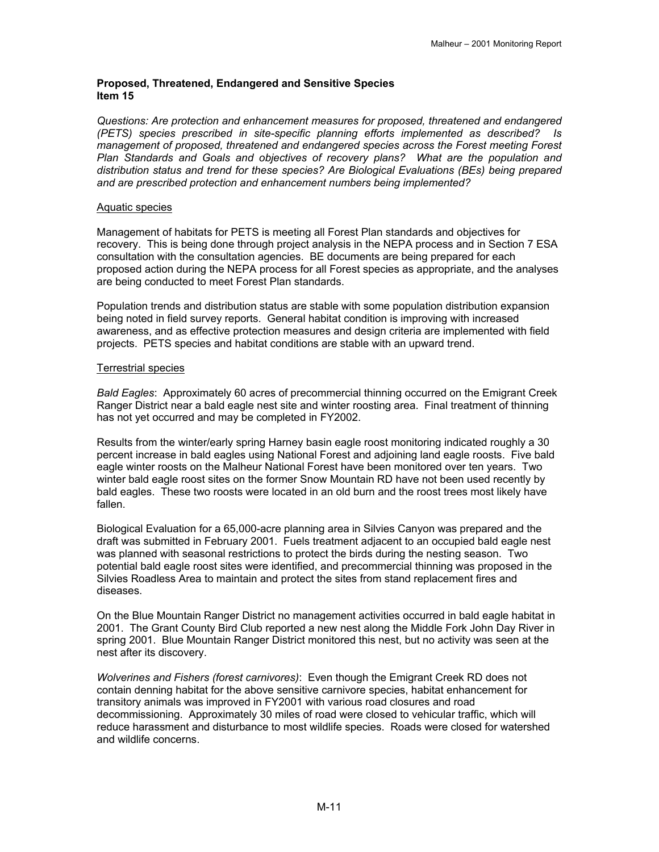### **Proposed, Threatened, Endangered and Sensitive Species Item 15**

*Questions: Are protection and enhancement measures for proposed, threatened and endangered (PETS) species prescribed in site-specific planning efforts implemented as described? Is management of proposed, threatened and endangered species across the Forest meeting Forest Plan Standards and Goals and objectives of recovery plans? What are the population and distribution status and trend for these species? Are Biological Evaluations (BEs) being prepared and are prescribed protection and enhancement numbers being implemented?*

### Aquatic species

Management of habitats for PETS is meeting all Forest Plan standards and objectives for recovery. This is being done through project analysis in the NEPA process and in Section 7 ESA consultation with the consultation agencies. BE documents are being prepared for each proposed action during the NEPA process for all Forest species as appropriate, and the analyses are being conducted to meet Forest Plan standards.

Population trends and distribution status are stable with some population distribution expansion being noted in field survey reports. General habitat condition is improving with increased awareness, and as effective protection measures and design criteria are implemented with field projects. PETS species and habitat conditions are stable with an upward trend.

### Terrestrial species

*Bald Eagles*: Approximately 60 acres of precommercial thinning occurred on the Emigrant Creek Ranger District near a bald eagle nest site and winter roosting area. Final treatment of thinning has not yet occurred and may be completed in FY2002.

Results from the winter/early spring Harney basin eagle roost monitoring indicated roughly a 30 percent increase in bald eagles using National Forest and adjoining land eagle roosts. Five bald eagle winter roosts on the Malheur National Forest have been monitored over ten years. Two winter bald eagle roost sites on the former Snow Mountain RD have not been used recently by bald eagles. These two roosts were located in an old burn and the roost trees most likely have fallen.

Biological Evaluation for a 65,000-acre planning area in Silvies Canyon was prepared and the draft was submitted in February 2001. Fuels treatment adjacent to an occupied bald eagle nest was planned with seasonal restrictions to protect the birds during the nesting season. Two potential bald eagle roost sites were identified, and precommercial thinning was proposed in the Silvies Roadless Area to maintain and protect the sites from stand replacement fires and diseases.

On the Blue Mountain Ranger District no management activities occurred in bald eagle habitat in 2001. The Grant County Bird Club reported a new nest along the Middle Fork John Day River in spring 2001. Blue Mountain Ranger District monitored this nest, but no activity was seen at the nest after its discovery.

*Wolverines and Fishers (forest carnivores)*: Even though the Emigrant Creek RD does not contain denning habitat for the above sensitive carnivore species, habitat enhancement for transitory animals was improved in FY2001 with various road closures and road decommissioning. Approximately 30 miles of road were closed to vehicular traffic, which will reduce harassment and disturbance to most wildlife species. Roads were closed for watershed and wildlife concerns.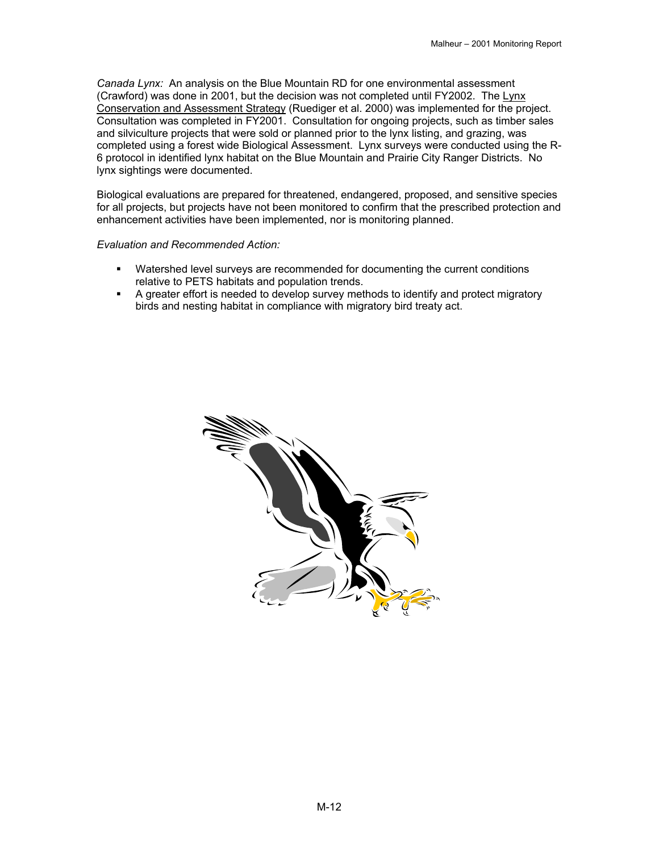*Canada Lynx:* An analysis on the Blue Mountain RD for one environmental assessment (Crawford) was done in 2001, but the decision was not completed until FY2002. The Lynx Conservation and Assessment Strategy (Ruediger et al. 2000) was implemented for the project. Consultation was completed in FY2001. Consultation for ongoing projects, such as timber sales and silviculture projects that were sold or planned prior to the lynx listing, and grazing, was completed using a forest wide Biological Assessment. Lynx surveys were conducted using the R-6 protocol in identified lynx habitat on the Blue Mountain and Prairie City Ranger Districts. No lynx sightings were documented.

Biological evaluations are prepared for threatened, endangered, proposed, and sensitive species for all projects, but projects have not been monitored to confirm that the prescribed protection and enhancement activities have been implemented, nor is monitoring planned.

### *Evaluation and Recommended Action:*

- Watershed level surveys are recommended for documenting the current conditions relative to PETS habitats and population trends.
- A greater effort is needed to develop survey methods to identify and protect migratory birds and nesting habitat in compliance with migratory bird treaty act.

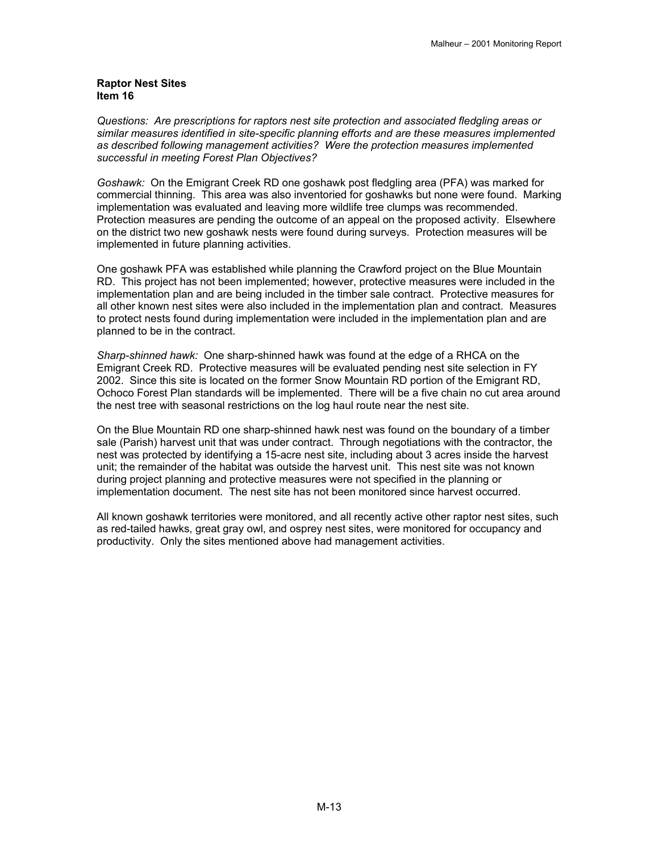### **Raptor Nest Sites Item 16**

*Questions: Are prescriptions for raptors nest site protection and associated fledgling areas or similar measures identified in site-specific planning efforts and are these measures implemented as described following management activities? Were the protection measures implemented successful in meeting Forest Plan Objectives?*

*Goshawk:* On the Emigrant Creek RD one goshawk post fledgling area (PFA) was marked for commercial thinning. This area was also inventoried for goshawks but none were found. Marking implementation was evaluated and leaving more wildlife tree clumps was recommended. Protection measures are pending the outcome of an appeal on the proposed activity. Elsewhere on the district two new goshawk nests were found during surveys. Protection measures will be implemented in future planning activities.

One goshawk PFA was established while planning the Crawford project on the Blue Mountain RD. This project has not been implemented; however, protective measures were included in the implementation plan and are being included in the timber sale contract. Protective measures for all other known nest sites were also included in the implementation plan and contract. Measures to protect nests found during implementation were included in the implementation plan and are planned to be in the contract.

*Sharp-shinned hawk:* One sharp-shinned hawk was found at the edge of a RHCA on the Emigrant Creek RD. Protective measures will be evaluated pending nest site selection in FY 2002. Since this site is located on the former Snow Mountain RD portion of the Emigrant RD, Ochoco Forest Plan standards will be implemented. There will be a five chain no cut area around the nest tree with seasonal restrictions on the log haul route near the nest site.

On the Blue Mountain RD one sharp-shinned hawk nest was found on the boundary of a timber sale (Parish) harvest unit that was under contract. Through negotiations with the contractor, the nest was protected by identifying a 15-acre nest site, including about 3 acres inside the harvest unit; the remainder of the habitat was outside the harvest unit. This nest site was not known during project planning and protective measures were not specified in the planning or implementation document. The nest site has not been monitored since harvest occurred.

All known goshawk territories were monitored, and all recently active other raptor nest sites, such as red-tailed hawks, great gray owl, and osprey nest sites, were monitored for occupancy and productivity. Only the sites mentioned above had management activities.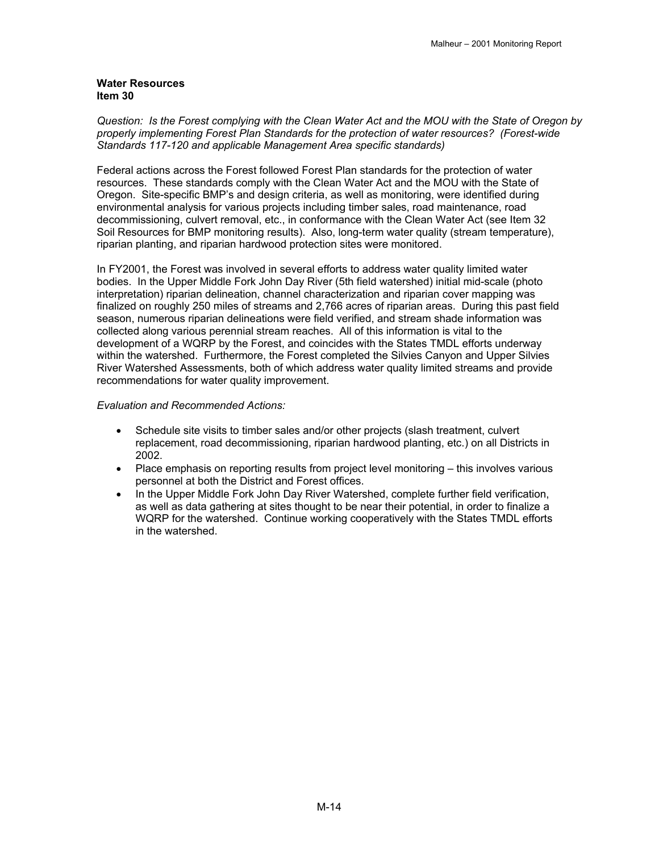### **Water Resources Item 30**

*Question: Is the Forest complying with the Clean Water Act and the MOU with the State of Oregon by properly implementing Forest Plan Standards for the protection of water resources? (Forest-wide Standards 117-120 and applicable Management Area specific standards)* 

Federal actions across the Forest followed Forest Plan standards for the protection of water resources. These standards comply with the Clean Water Act and the MOU with the State of Oregon. Site-specific BMP's and design criteria, as well as monitoring, were identified during environmental analysis for various projects including timber sales, road maintenance, road decommissioning, culvert removal, etc., in conformance with the Clean Water Act (see Item 32 Soil Resources for BMP monitoring results). Also, long-term water quality (stream temperature), riparian planting, and riparian hardwood protection sites were monitored.

In FY2001, the Forest was involved in several efforts to address water quality limited water bodies. In the Upper Middle Fork John Day River (5th field watershed) initial mid-scale (photo interpretation) riparian delineation, channel characterization and riparian cover mapping was finalized on roughly 250 miles of streams and 2,766 acres of riparian areas. During this past field season, numerous riparian delineations were field verified, and stream shade information was collected along various perennial stream reaches. All of this information is vital to the development of a WQRP by the Forest, and coincides with the States TMDL efforts underway within the watershed. Furthermore, the Forest completed the Silvies Canyon and Upper Silvies River Watershed Assessments, both of which address water quality limited streams and provide recommendations for water quality improvement.

### *Evaluation and Recommended Actions:*

- Schedule site visits to timber sales and/or other projects (slash treatment, culvert replacement, road decommissioning, riparian hardwood planting, etc.) on all Districts in 2002.
- Place emphasis on reporting results from project level monitoring this involves various personnel at both the District and Forest offices.
- In the Upper Middle Fork John Day River Watershed, complete further field verification, as well as data gathering at sites thought to be near their potential, in order to finalize a WQRP for the watershed. Continue working cooperatively with the States TMDL efforts in the watershed.